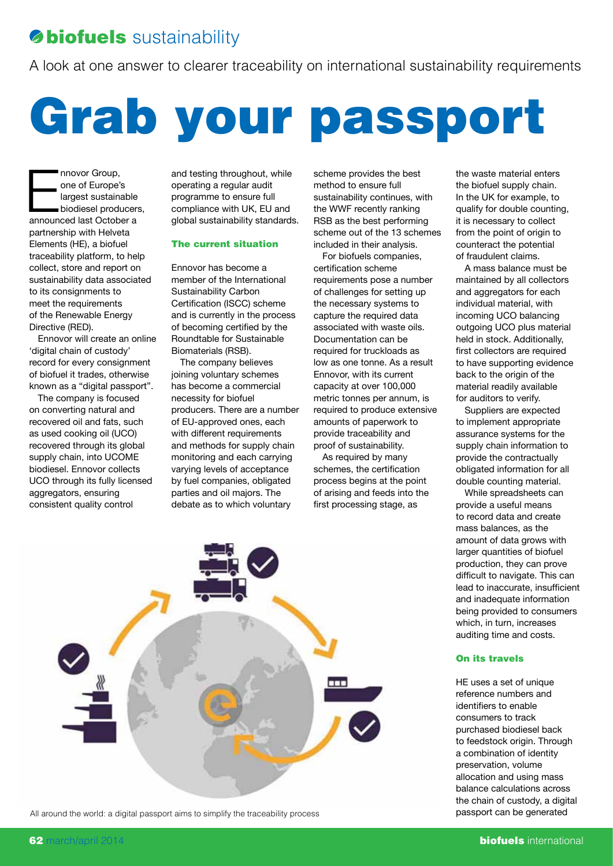# **Biofuels** sustainability

A look at one answer to clearer traceability on international sustainability requirements

Grab your passport

movor Group,<br>
one of Europe's<br>
largest sustainable<br>
biodiesel producers<br>
announced last October a one of Europe's largest sustainable biodiesel producers, partnership with Helveta Elements (HE), a biofuel traceability platform, to help collect, store and report on sustainability data associated to its consignments to meet the requirements of the Renewable Energy Directive (RED).

Ennovor will create an online 'digital chain of custody' record for every consignment of biofuel it trades, otherwise known as a "digital passport".

The company is focused on converting natural and recovered oil and fats, such as used cooking oil (UCO) recovered through its global supply chain, into UCOME biodiesel. Ennovor collects UCO through its fully licensed aggregators, ensuring consistent quality control

and testing throughout, while operating a regular audit programme to ensure full compliance with UK, EU and global sustainability standards.

### The current situation

Ennovor has become a member of the International Sustainability Carbon Certification (ISCC) scheme and is currently in the process of becoming certified by the Roundtable for Sustainable Biomaterials (RSB).

The company believes joining voluntary schemes has become a commercial necessity for biofuel producers. There are a number of EU-approved ones, each with different requirements and methods for supply chain monitoring and each carrying varying levels of acceptance by fuel companies, obligated parties and oil majors. The debate as to which voluntary

scheme provides the best method to ensure full sustainability continues, with the WWF recently ranking RSB as the best performing scheme out of the 13 schemes included in their analysis.

For biofuels companies, certification scheme requirements pose a number of challenges for setting up the necessary systems to capture the required data associated with waste oils. Documentation can be required for truckloads as low as one tonne. As a result Ennovor, with its current capacity at over 100,000 metric tonnes per annum, is required to produce extensive amounts of paperwork to provide traceability and proof of sustainability.

As required by many schemes, the certification process begins at the point of arising and feeds into the first processing stage, as

All around the world: a digital passport aims to simplify the traceability process **passport can be generated** 



On its travels HE uses a set of unique

auditing time and costs.

the waste material enters the biofuel supply chain. In the UK for example, to qualify for double counting, it is necessary to collect from the point of origin to counteract the potential of fraudulent claims.

A mass balance must be maintained by all collectors and aggregators for each individual material, with incoming UCO balancing outgoing UCO plus material held in stock. Additionally, first collectors are required to have supporting evidence back to the origin of the material readily available for auditors to verify. Suppliers are expected to implement appropriate assurance systems for the supply chain information to provide the contractually obligated information for all double counting material. While spreadsheets can provide a useful means to record data and create mass balances, as the amount of data grows with larger quantities of biofuel production, they can prove difficult to navigate. This can

reference numbers and identifiers to enable consumers to track purchased biodiesel back to feedstock origin. Through a combination of identity preservation, volume allocation and using mass balance calculations across the chain of custody, a digital